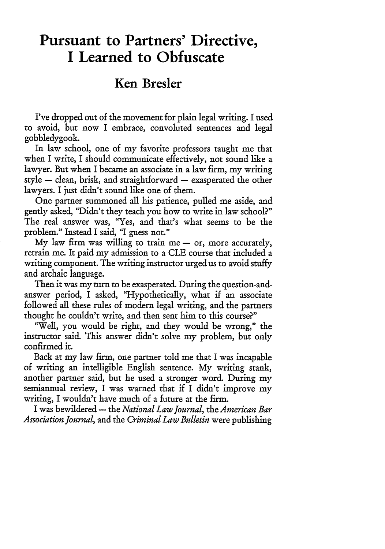## **Pursuant to Partners' Directive, I Learned to Obfuscate**

## **Ken Bresler**

I've dropped out of the movement for plain legal writing. I used to avoid, but now **I** embrace, convoluted sentences and legal gobbledygook.

In law school, one of my favorite professors taught me that when I write, I should communicate effectively, not sound like a lawyer. But when I became an associate in a law firm, my writing style - clean, brisk, and straightforward - exasperated the other lawyers. I just didn't sound like one of them.

One partner summoned all his patience, pulled me aside, and gently asked, "Didn't they teach you how to write in law school?" The real answer was, "Yes, and that's what seems to be the problem." Instead I said, **"I** guess not."

**My** law firm was willing to train me **-** or, more accurately, retrain me. It paid my admission to a CLE course that included a writing component. The writing instructor urged us to avoid stuffy and archaic language.

Then it was my turn to be exasperated. During the question-andanswer period, I asked, "Hypothetically, what if an associate followed all these rules of modern legal writing, and the partners thought he couldn't write, and then sent him to this course?"

"Well, you would be right, and they would be wrong," the instructor said. This answer didn't solve my problem, but only confirmed it.

Back at my law firm, one partner told me that I was incapable of writing an intelligible English sentence. My writing stank, another partner said, but he used a stronger word. During my semiannual review, I was warned that if I didn't improve my writing, I wouldn't have much of a future at the firm.

I was bewildered **-** the *National Law Journal, the American Bar Association Journal,* and the *Criminal Law Bulletin* were publishing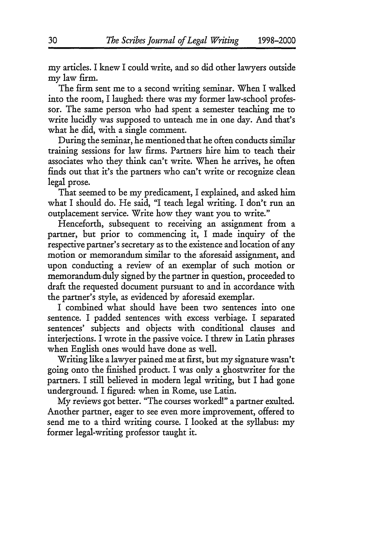my articles. I knew I could write, and so did other lawyers outside my law firm.

The firm sent me to a second writing seminar. When I walked into the room, I laughed: there was my former law-school professor. The same person who had spent a semester teaching me to write lucidly was supposed to unteach me in one day. And that's what he did, with a single comment.

During the seminar, he mentioned that he often conducts similar training sessions for law firms. Partners hire him to teach their associates who they think can't write. When he arrives, he often finds out that it's the partners who can't write or recognize dean legal prose.

That seemed to be my predicament, I explained, and asked him what I should do. He said, "I teach legal writing. I don't run an outplacement service. Write how they want you to write."

Henceforth, subsequent to receiving an assignment from a partner, but prior to commencing it, I made inquiry of the respective partner's secretary as to the existence and location of any motion or memorandum similar to the aforesaid assignment, and upon conducting a review of an exemplar of such motion or memorandum. duly signed by the partner in question, proceeded to draft the requested document pursuant to and in accordance with the partner's style, as evidenced by aforesaid exemplar.

I combined what should have been two sentences into one sentence. I padded sentences with excess verbiage. I separated sentences' subjects and objects with conditional clauses and interjections. I wrote in the passive voice. I threw in Latin phrases when English ones would have done as well.

Writing like a lawyer pained me at first, but my signature wasn't going onto the finished product. I was only a ghostwriter for the partners. I still believed in modern legal writing, but I had gone underground. I figured: when in Rome, use Latin.

My reviews got better. "The courses worked!" a partner exulted. Another partner, eager to see even more improvement, offered to send me to a third writing course. I looked at the syllabus: my former legal-writing professor taught it.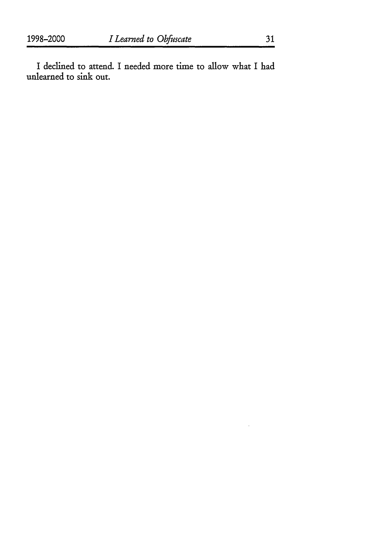I declined to attend. I needed more time to allow what I had unlearned to sink out.